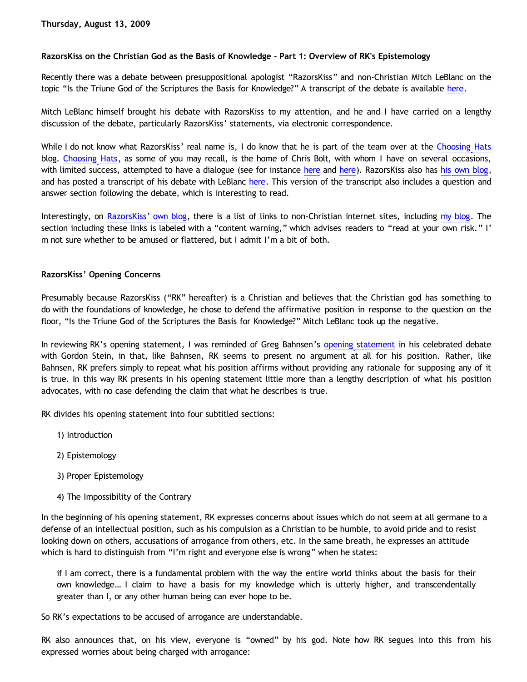# **RazorsKiss on the Christian God as the Basis of Knowledge - Part 1: Overview of RK's Epistemology**

Recently there was a debate between presuppositional apologist "RazorsKiss" and non-Christian Mitch LeBlanc on the topic "Is the Triune God of the Scriptures the Basis for Knowledge?" A transcript of the debate is available [here](http://urbanphilosophy.net/philosophy/debate-is-god-the-basis-for-knowledge-razorskiss-vs-mitchleblanc/).

Mitch LeBlanc himself brought his debate with RazorsKiss to my attention, and he and I have carried on a lengthy discussion of the debate, particularly RazorsKiss' statements, via electronic correspondence.

While I do not know what RazorsKiss' real name is, I do know that he is part of the team over at the [Choosing Hats](http://choosinghats.blogspot.com/) blog. [Choosing Hats](http://choosinghats.blogspot.com/), as some of you may recall, is the home of Chris Bolt, with whom I have on several occasions, with limited success, attempted to have a dialogue (see for instance [here](https://www.blogger.com/comment.g?blogID=1742875340359980279&postID=6560700279735622720) and [here](https://www.blogger.com/comment.g?blogID=1742875340359980279&postID=3801021305535206435)). RazorsKiss also has [his own blog,](http://razorskiss.net/wp/) and has posted a transcript of his debate with LeBlanc [here](http://razorskiss.net/wp/2009/08/08/debate-transcript/). This version of the transcript also includes a question and answer section following the debate, which is interesting to read.

Interestingly, on [RazorsKiss' own blog,](http://razorskiss.net/wp) there is a list of links to non-Christian internet sites, including [my blog.](http://bahnsenburner.blogspot.com/) The section including these links is labeled with a "content warning," which advises readers to "read at your own risk." I' m not sure whether to be amused or flattered, but I admit I'm a bit of both.

## **RazorsKiss' Opening Concerns**

Presumably because RazorsKiss ("RK" hereafter) is a Christian and believes that the Christian god has something to do with the foundations of knowledge, he chose to defend the affirmative position in response to the question on the floor, "Is the Triune God of the Scriptures the Basis for Knowledge?" Mitch LeBlanc took up the negative.

In reviewing RK's [opening statement](http://bahnsenburner.blogspot.com/2005/03/bahnsens-poof.html), I was reminded of Greg Bahnsen's opening statement in his celebrated debate with Gordon Stein, in that, like Bahnsen, RK seems to present no argument at all for his position. Rather, like Bahnsen, RK prefers simply to repeat what his position affirms without providing any rationale for supposing any of it is true. In this way RK presents in his opening statement little more than a lengthy description of what his position advocates, with no case defending the claim that what he describes is true.

RK divides his opening statement into four subtitled sections:

- 1) Introduction
- 2) Epistemology
- 3) Proper Epistemology
- 4) The Impossibility of the Contrary

In the beginning of his opening statement, RK expresses concerns about issues which do not seem at all germane to a defense of an intellectual position, such as his compulsion as a Christian to be humble, to avoid pride and to resist looking down on others, accusations of arrogance from others, etc. In the same breath, he expresses an attitude which is hard to distinguish from "I'm right and everyone else is wrong" when he states:

if I am correct, there is a fundamental problem with the way the entire world thinks about the basis for their own knowledge… I claim to have a basis for my knowledge which is utterly higher, and transcendentally greater than I, or any other human being can ever hope to be.

So RK's expectations to be accused of arrogance are understandable.

RK also announces that, on his view, everyone is "owned" by his god. Note how RK segues into this from his expressed worries about being charged with arrogance: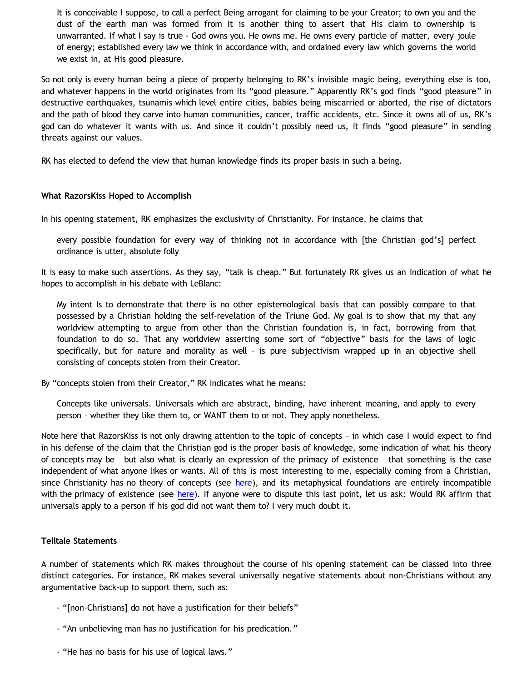It is conceivable I suppose, to call a perfect Being arrogant for claiming to be your Creator; to own you and the dust of the earth man was formed from It is another thing to assert that His claim to ownership is unwarranted. If what I say is true - God owns you. He owns me. He owns every particle of matter, every joule of energy; established every law we think in accordance with, and ordained every law which governs the world we exist in, at His good pleasure.

So not only is every human being a piece of property belonging to RK's invisible magic being, everything else is too, and whatever happens in the world originates from its "good pleasure." Apparently RK's god finds "good pleasure" in destructive earthquakes, tsunamis which level entire cities, babies being miscarried or aborted, the rise of dictators and the path of blood they carve into human communities, cancer, traffic accidents, etc. Since it owns all of us, RK's god can do whatever it wants with us. And since it couldn't possibly need us, it finds "good pleasure" in sending threats against our values.

RK has elected to defend the view that human knowledge finds its proper basis in such a being.

### **What RazorsKiss Hoped to Accomplish**

In his opening statement, RK emphasizes the exclusivity of Christianity. For instance, he claims that

every possible foundation for every way of thinking not in accordance with [the Christian god's] perfect ordinance is utter, absolute folly

It is easy to make such assertions. As they say, "talk is cheap." But fortunately RK gives us an indication of what he hopes to accomplish in his debate with LeBlanc:

My intent Is to demonstrate that there is no other epistemological basis that can possibly compare to that possessed by a Christian holding the self-revelation of the Triune God. My goal is to show that my that any worldview attempting to argue from other than the Christian foundation is, in fact, borrowing from that foundation to do so. That any worldview asserting some sort of "objective" basis for the laws of logic specifically, but for nature and morality as well – is pure subjectivism wrapped up in an objective shell consisting of concepts stolen from their Creator.

By "concepts stolen from their Creator," RK indicates what he means:

Concepts like universals. Universals which are abstract, binding, have inherent meaning, and apply to every person – whether they like them to, or WANT them to or not. They apply nonetheless.

Note here that RazorsKiss is not only drawing attention to the topic of concepts – in which case I would expect to find in his defense of the claim that the Christian god is the proper basis of knowledge, some indication of what his theory of concepts may be – but also what is clearly an expression of the primacy of existence – that something is the case independent of what anyone likes or wants. All of this is most interesting to me, especially coming from a Christian, since Christianity has no theory of concepts (see [here](http://bahnsenburner.blogspot.com/2009/07/does-logic-presuppose-christian-god_04.html)), and its metaphysical foundations are entirely incompatible with the primacy of existence (see [here\)](http://bahnsenburner.blogspot.com/2008/12/inherent-subjectivism-of-god-belief.html). If anyone were to dispute this last point, let us ask: Would RK affirm that universals apply to a person if his god did not want them to? I very much doubt it.

#### **Telltale Statements**

A number of statements which RK makes throughout the course of his opening statement can be classed into three distinct categories. For instance, RK makes several universally negative statements about non-Christians without any argumentative back-up to support them, such as:

- "[non-Christians] do not have a justification for their beliefs"
- "An unbelieving man has no justification for his predication."
- "He has no basis for his use of logical laws."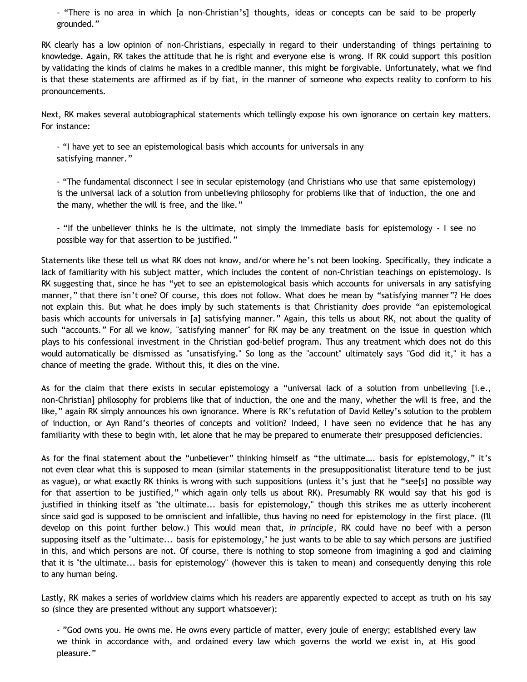- "There is no area in which [a non-Christian's] thoughts, ideas or concepts can be said to be properly grounded."

RK clearly has a low opinion of non-Christians, especially in regard to their understanding of things pertaining to knowledge. Again, RK takes the attitude that he is right and everyone else is wrong. If RK could support this position by validating the kinds of claims he makes in a credible manner, this might be forgivable. Unfortunately, what we find is that these statements are affirmed as if by fiat, in the manner of someone who expects reality to conform to his pronouncements.

Next, RK makes several autobiographical statements which tellingly expose his own ignorance on certain key matters. For instance:

- "I have yet to see an epistemological basis which accounts for universals in any satisfying manner."

- "The fundamental disconnect I see in secular epistemology (and Christians who use that same epistemology) is the universal lack of a solution from unbelieving philosophy for problems like that of induction, the one and the many, whether the will is free, and the like."

- "If the unbeliever thinks he is the ultimate, not simply the immediate basis for epistemology - I see no possible way for that assertion to be justified."

Statements like these tell us what RK does not know, and/or where he's not been looking. Specifically, they indicate a lack of familiarity with his subject matter, which includes the content of non-Christian teachings on epistemology. Is RK suggesting that, since he has "yet to see an epistemological basis which accounts for universals in any satisfying manner," that there isn't one? Of course, this does not follow. What does he mean by "satisfying manner"? He does not explain this. But what he does imply by such statements is that Christianity *does* provide "an epistemological basis which accounts for universals in [a] satisfying manner." Again, this tells us about RK, not about the quality of such "accounts." For all we know, "satisfying manner" for RK may be any treatment on the issue in question which plays to his confessional investment in the Christian god-belief program. Thus any treatment which does not do this would automatically be dismissed as "unsatisfying." So long as the "account" ultimately says "God did it," it has a chance of meeting the grade. Without this, it dies on the vine.

As for the claim that there exists in secular epistemology a "universal lack of a solution from unbelieving [i.e., non-Christian] philosophy for problems like that of induction, the one and the many, whether the will is free, and the like," again RK simply announces his own ignorance. Where is RK's refutation of David Kelley's solution to the problem of induction, or Ayn Rand's theories of concepts and volition? Indeed, I have seen no evidence that he has any familiarity with these to begin with, let alone that he may be prepared to enumerate their presupposed deficiencies.

As for the final statement about the "unbeliever" thinking himself as "the ultimate…. basis for epistemology," it's not even clear what this is supposed to mean (similar statements in the presuppositionalist literature tend to be just as vague), or what exactly RK thinks is wrong with such suppositions (unless it's just that he "see[s] no possible way for that assertion to be justified," which again only tells us about RK). Presumably RK would say that his god is justified in thinking itself as "the ultimate... basis for epistemology," though this strikes me as utterly incoherent since said god is supposed to be omniscient and infallible, thus having no need for epistemology in the first place. (I'll develop on this point further below.) This would mean that, *in principle*, RK could have no beef with a person supposing itself as the "ultimate... basis for epistemology," he just wants to be able to say which persons are justified in this, and which persons are not. Of course, there is nothing to stop someone from imagining a god and claiming that it is "the ultimate... basis for epistemology" (however this is taken to mean) and consequently denying this role to any human being.

Lastly, RK makes a series of worldview claims which his readers are apparently expected to accept as truth on his say so (since they are presented without any support whatsoever):

- "God owns you. He owns me. He owns every particle of matter, every joule of energy; established every law we think in accordance with, and ordained every law which governs the world we exist in, at His good pleasure."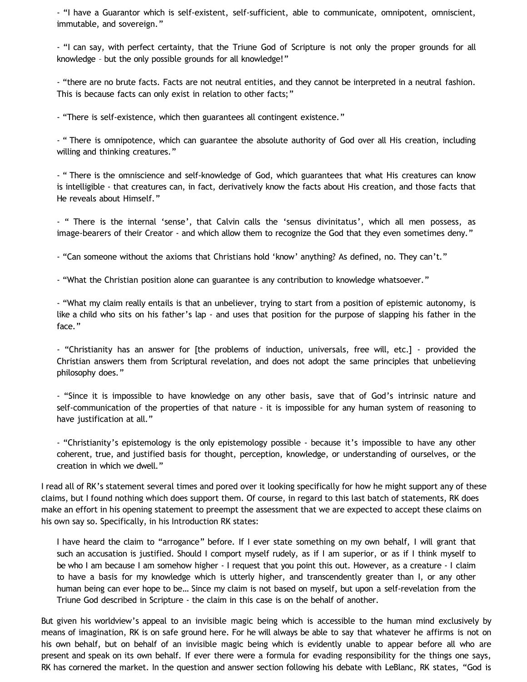- "I have a Guarantor which is self-existent, self-sufficient, able to communicate, omnipotent, omniscient, immutable, and sovereign."

- "I can say, with perfect certainty, that the Triune God of Scripture is not only the proper grounds for all knowledge – but the only possible grounds for all knowledge!"

- "there are no brute facts. Facts are not neutral entities, and they cannot be interpreted in a neutral fashion. This is because facts can only exist in relation to other facts;"

- "There is self-existence, which then guarantees all contingent existence."

- " There is omnipotence, which can guarantee the absolute authority of God over all His creation, including willing and thinking creatures."

- " There is the omniscience and self-knowledge of God, which guarantees that what His creatures can know is intelligible - that creatures can, in fact, derivatively know the facts about His creation, and those facts that He reveals about Himself."

- " There is the internal 'sense', that Calvin calls the 'sensus divinitatus', which all men possess, as image-bearers of their Creator - and which allow them to recognize the God that they even sometimes deny."

- "Can someone without the axioms that Christians hold 'know' anything? As defined, no. They can't."

- "What the Christian position alone can guarantee is any contribution to knowledge whatsoever."

- "What my claim really entails is that an unbeliever, trying to start from a position of epistemic autonomy, is like a child who sits on his father's lap - and uses that position for the purpose of slapping his father in the face."

- "Christianity has an answer for [the problems of induction, universals, free will, etc.] - provided the Christian answers them from Scriptural revelation, and does not adopt the same principles that unbelieving philosophy does."

- "Since it is impossible to have knowledge on any other basis, save that of God's intrinsic nature and self-communication of the properties of that nature - it is impossible for any human system of reasoning to have justification at all."

- "Christianity's epistemology is the only epistemology possible - because it's impossible to have any other coherent, true, and justified basis for thought, perception, knowledge, or understanding of ourselves, or the creation in which we dwell."

I read all of RK's statement several times and pored over it looking specifically for how he might support any of these claims, but I found nothing which does support them. Of course, in regard to this last batch of statements, RK does make an effort in his opening statement to preempt the assessment that we are expected to accept these claims on his own say so. Specifically, in his Introduction RK states:

I have heard the claim to "arrogance" before. If I ever state something on my own behalf, I will grant that such an accusation is justified. Should I comport myself rudely, as if I am superior, or as if I think myself to be who I am because I am somehow higher - I request that you point this out. However, as a creature - I claim to have a basis for my knowledge which is utterly higher, and transcendently greater than I, or any other human being can ever hope to be… Since my claim is not based on myself, but upon a self-revelation from the Triune God described in Scripture - the claim in this case is on the behalf of another.

But given his worldview's appeal to an invisible magic being which is accessible to the human mind exclusively by means of imagination, RK is on safe ground here. For he will always be able to say that whatever he affirms is not on his own behalf, but on behalf of an invisible magic being which is evidently unable to appear before all who are present and speak on its own behalf. If ever there were a formula for evading responsibility for the things one says, RK has cornered the market. In the question and answer section following his debate with LeBlanc, RK states, "God is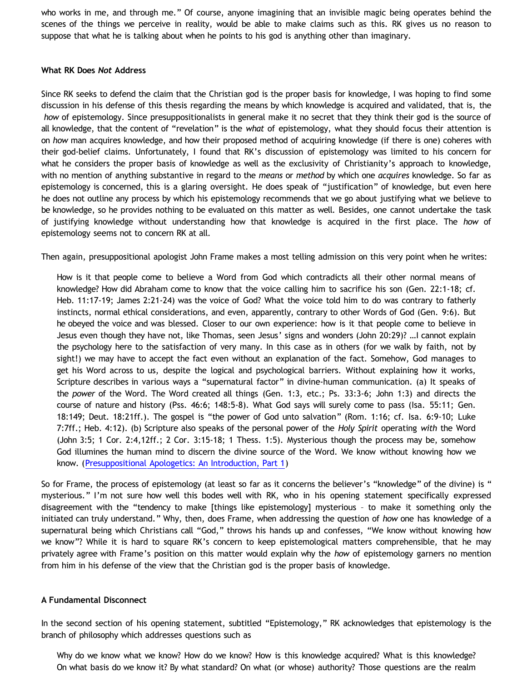who works in me, and through me." Of course, anyone imagining that an invisible magic being operates behind the scenes of the things we perceive in reality, would be able to make claims such as this. RK gives us no reason to suppose that what he is talking about when he points to his god is anything other than imaginary.

#### **What RK Does** *Not* **Address**

Since RK seeks to defend the claim that the Christian god is the proper basis for knowledge, I was hoping to find some discussion in his defense of this thesis regarding the means by which knowledge is acquired and validated, that is, the *how* of epistemology. Since presuppositionalists in general make it no secret that they think their god is the source of all knowledge, that the content of "revelation" is the *what* of epistemology, what they should focus their attention is on *how* man acquires knowledge, and how their proposed method of acquiring knowledge (if there is one) coheres with their god-belief claims. Unfortunately, I found that RK's discussion of epistemology was limited to his concern for what he considers the proper basis of knowledge as well as the exclusivity of Christianity's approach to knowledge, with no mention of anything substantive in regard to the *means* or *method* by which one *acquires* knowledge. So far as epistemology is concerned, this is a glaring oversight. He does speak of "justification" of knowledge, but even here he does not outline any process by which his epistemology recommends that we go about justifying what we believe to be knowledge, so he provides nothing to be evaluated on this matter as well. Besides, one cannot undertake the task of justifying knowledge without understanding how that knowledge is acquired in the first place. The *how* of epistemology seems not to concern RK at all.

Then again, presuppositional apologist John Frame makes a most telling admission on this very point when he writes:

How is it that people come to believe a Word from God which contradicts all their other normal means of knowledge? How did Abraham come to know that the voice calling him to sacrifice his son (Gen. 22:1-18; cf. Heb. 11:17-19; James 2:21-24) was the voice of God? What the voice told him to do was contrary to fatherly instincts, normal ethical considerations, and even, apparently, contrary to other Words of God (Gen. 9:6). But he obeyed the voice and was blessed. Closer to our own experience: how is it that people come to believe in Jesus even though they have not, like Thomas, seen Jesus' signs and wonders (John 20:29)? …I cannot explain the psychology here to the satisfaction of very many. In this case as in others (for we walk by faith, not by sight!) we may have to accept the fact even without an explanation of the fact. Somehow, God manages to get his Word across to us, despite the logical and psychological barriers. Without explaining how it works, Scripture describes in various ways a "supernatural factor" in divine-human communication. (a) It speaks of the *power* of the Word. The Word created all things (Gen. 1:3, etc.; Ps. 33:3-6; John 1:3) and directs the course of nature and history (Pss. 46:6; 148:5-8). What God says will surely come to pass (Isa. 55:11; Gen. 18:149; Deut. 18:21ff.). The gospel is "the power of God unto salvation" (Rom. 1:16; cf. Isa. 6:9-10; Luke 7:7ff.; Heb. 4:12). (b) Scripture also speaks of the personal power of the *Holy Spirit* operating *with* the Word (John 3:5; 1 Cor. 2:4,12ff.; 2 Cor. 3:15-18; 1 Thess. 1:5). Mysterious though the process may be, somehow God illumines the human mind to discern the divine source of the Word. We know without knowing how we know. ([Presuppositional Apologetics: An Introduction, Part 1\)](http://www.thirdmill.org/files/english/html/pt/PT.h.Frame.Presupp.Apol.1.html)

So for Frame, the process of epistemology (at least so far as it concerns the believer's "knowledge" of the divine) is " mysterious." I'm not sure how well this bodes well with RK, who in his opening statement specifically expressed disagreement with the "tendency to make [things like epistemology] mysterious – to make it something only the initiated can truly understand." Why, then, does Frame, when addressing the question of *how* one has knowledge of a supernatural being which Christians call "God," throws his hands up and confesses, "We know without knowing how we know"? While it is hard to square RK's concern to keep epistemological matters comprehensible, that he may privately agree with Frame's position on this matter would explain why the *how* of epistemology garners no mention from him in his defense of the view that the Christian god is the proper basis of knowledge.

#### **A Fundamental Disconnect**

In the second section of his opening statement, subtitled "Epistemology," RK acknowledges that epistemology is the branch of philosophy which addresses questions such as

Why do we know what we know? How do we know? How is this knowledge acquired? What is this knowledge? On what basis do we know it? By what standard? On what (or whose) authority? Those questions are the realm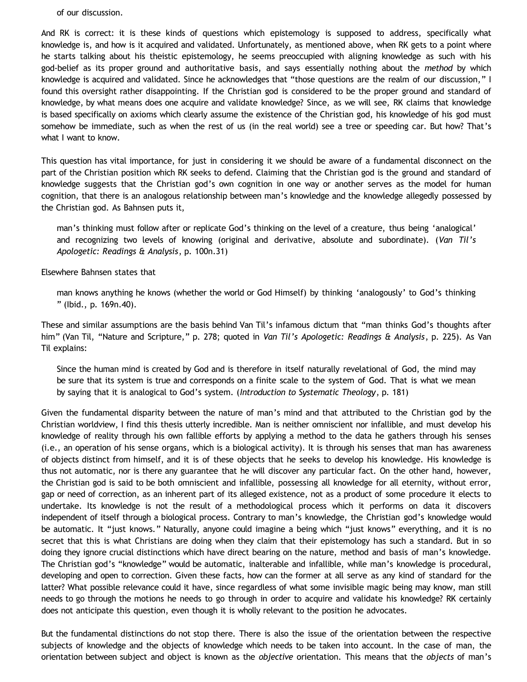of our discussion.

And RK is correct: it is these kinds of questions which epistemology is supposed to address, specifically what knowledge is, and how is it acquired and validated. Unfortunately, as mentioned above, when RK gets to a point where he starts talking about his theistic epistemology, he seems preoccupied with aligning knowledge as such with his god-belief as its proper ground and authoritative basis, and says essentially nothing about the *method* by which knowledge is acquired and validated. Since he acknowledges that "those questions are the realm of our discussion," I found this oversight rather disappointing. If the Christian god is considered to be the proper ground and standard of knowledge, by what means does one acquire and validate knowledge? Since, as we will see, RK claims that knowledge is based specifically on axioms which clearly assume the existence of the Christian god, his knowledge of his god must somehow be immediate, such as when the rest of us (in the real world) see a tree or speeding car. But how? That's what I want to know.

This question has vital importance, for just in considering it we should be aware of a fundamental disconnect on the part of the Christian position which RK seeks to defend. Claiming that the Christian god is the ground and standard of knowledge suggests that the Christian god's own cognition in one way or another serves as the model for human cognition, that there is an analogous relationship between man's knowledge and the knowledge allegedly possessed by the Christian god. As Bahnsen puts it,

man's thinking must follow after or replicate God's thinking on the level of a creature, thus being 'analogical' and recognizing two levels of knowing (original and derivative, absolute and subordinate). (*Van Til's Apologetic: Readings & Analysis*, p. 100n.31)

Elsewhere Bahnsen states that

man knows anything he knows (whether the world or God Himself) by thinking 'analogously' to God's thinking " (Ibid., p. 169n.40).

These and similar assumptions are the basis behind Van Til's infamous dictum that "man thinks God's thoughts after him" (Van Til, "Nature and Scripture," p. 278; quoted in *Van Til's Apologetic: Readings & Analysis*, p. 225). As Van Til explains:

Since the human mind is created by God and is therefore in itself naturally revelational of God, the mind may be sure that its system is true and corresponds on a finite scale to the system of God. That is what we mean by saying that it is analogical to God's system. (*Introduction to Systematic Theology*, p. 181)

Given the fundamental disparity between the nature of man's mind and that attributed to the Christian god by the Christian worldview, I find this thesis utterly incredible. Man is neither omniscient nor infallible, and must develop his knowledge of reality through his own fallible efforts by applying a method to the data he gathers through his senses (i.e., an operation of his sense organs, which is a biological activity). It is through his senses that man has awareness of objects distinct from himself, and it is of these objects that he seeks to develop his knowledge. His knowledge is thus not automatic, nor is there any guarantee that he will discover any particular fact. On the other hand, however, the Christian god is said to be both omniscient and infallible, possessing all knowledge for all eternity, without error, gap or need of correction, as an inherent part of its alleged existence, not as a product of some procedure it elects to undertake. Its knowledge is not the result of a methodological process which it performs on data it discovers independent of itself through a biological process. Contrary to man's knowledge, the Christian god's knowledge would be automatic. It "just knows." Naturally, anyone could imagine a being which "just knows" everything, and it is no secret that this is what Christians are doing when they claim that their epistemology has such a standard. But in so doing they ignore crucial distinctions which have direct bearing on the nature, method and basis of man's knowledge. The Christian god's "knowledge" would be automatic, inalterable and infallible, while man's knowledge is procedural, developing and open to correction. Given these facts, how can the former at all serve as any kind of standard for the latter? What possible relevance could it have, since regardless of what some invisible magic being may know, man still needs to go through the motions he needs to go through in order to acquire and validate his knowledge? RK certainly does not anticipate this question, even though it is wholly relevant to the position he advocates.

But the fundamental distinctions do not stop there. There is also the issue of the orientation between the respective subjects of knowledge and the objects of knowledge which needs to be taken into account. In the case of man, the orientation between subject and object is known as the *objective* orientation. This means that the *objects* of man's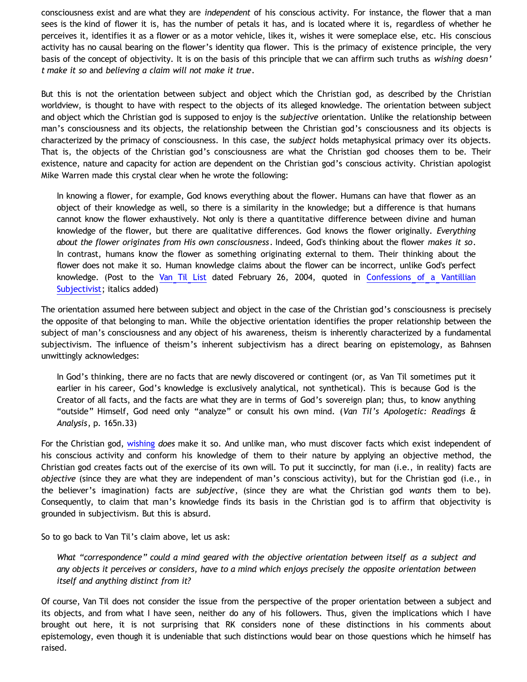consciousness exist and are what they are *independent* of his conscious activity. For instance, the flower that a man sees is the kind of flower it is, has the number of petals it has, and is located where it is, regardless of whether he perceives it, identifies it as a flower or as a motor vehicle, likes it, wishes it were someplace else, etc. His conscious activity has no causal bearing on the flower's identity qua flower. This is the primacy of existence principle, the very basis of the concept of objectivity. It is on the basis of this principle that we can affirm such truths as *wishing doesn' t make it so* and *believing a claim will not make it true*.

But this is not the orientation between subject and object which the Christian god, as described by the Christian worldview, is thought to have with respect to the objects of its alleged knowledge. The orientation between subject and object which the Christian god is supposed to enjoy is the *subjective* orientation. Unlike the relationship between man's consciousness and its objects, the relationship between the Christian god's consciousness and its objects is characterized by the primacy of consciousness. In this case, the *subject* holds metaphysical primacy over its objects. That is, the objects of the Christian god's consciousness are what the Christian god chooses them to be. Their existence, nature and capacity for action are dependent on the Christian god's conscious activity. Christian apologist Mike Warren made this crystal clear when he wrote the following:

In knowing a flower, for example, God knows everything about the flower. Humans can have that flower as an object of their knowledge as well, so there is a similarity in the knowledge; but a difference is that humans cannot know the flower exhaustively. Not only is there a quantitative difference between divine and human knowledge of the flower, but there are qualitative differences. God knows the flower originally. *Everything about the flower originates from His own consciousness*. Indeed, God's thinking about the flower *makes it so*. In contrast, humans know the flower as something originating external to them. Their thinking about the flower does not make it so. Human knowledge claims about the flower can be incorrect, unlike God's perfect knowledge. (Post to the [Van Til List](http://www.ccir.ed.ac.uk/~jad/vantil-list/) dated February 26, 2004, quoted in [Confessions of a Vantillian](http://bahnsenburner.blogspot.com/2006/03/confessions-of-vantillian-subjectivist.html) [Subjectivist](http://bahnsenburner.blogspot.com/2006/03/confessions-of-vantillian-subjectivist.html); italics added)

The orientation assumed here between subject and object in the case of the Christian god's consciousness is precisely the opposite of that belonging to man. While the objective orientation identifies the proper relationship between the subject of man's consciousness and any object of his awareness, theism is inherently characterized by a fundamental subjectivism. The influence of theism's inherent subjectivism has a direct bearing on epistemology, as Bahnsen unwittingly acknowledges:

In God's thinking, there are no facts that are newly discovered or contingent (or, as Van Til sometimes put it earlier in his career, God's knowledge is exclusively analytical, not synthetical). This is because God is the Creator of all facts, and the facts are what they are in terms of God's sovereign plan; thus, to know anything "outside" Himself, God need only "analyze" or consult his own mind. (*Van Til's Apologetic: Readings & Analysis*, p. 165n.33)

For the Christian god, [wishing](http://bahnsenburner.blogspot.com/2006/12/wishing-and-christian-deity.html) *does* make it so. And unlike man, who must discover facts which exist independent of his conscious activity and conform his knowledge of them to their nature by applying an objective method, the Christian god creates facts out of the exercise of its own will. To put it succinctly, for man (i.e., in reality) facts are *objective* (since they are what they are independent of man's conscious activity), but for the Christian god (i.e., in the believer's imagination) facts are *subjective*, (since they are what the Christian god *wants* them to be). Consequently, to claim that man's knowledge finds its basis in the Christian god is to affirm that objectivity is grounded in subjectivism. But this is absurd.

So to go back to Van Til's claim above, let us ask:

*What "correspondence" could a mind geared with the objective orientation between itself as a subject and any objects it perceives or considers, have to a mind which enjoys precisely the opposite orientation between itself and anything distinct from it?*

Of course, Van Til does not consider the issue from the perspective of the proper orientation between a subject and its objects, and from what I have seen, neither do any of his followers. Thus, given the implications which I have brought out here, it is not surprising that RK considers none of these distinctions in his comments about epistemology, even though it is undeniable that such distinctions would bear on those questions which he himself has raised.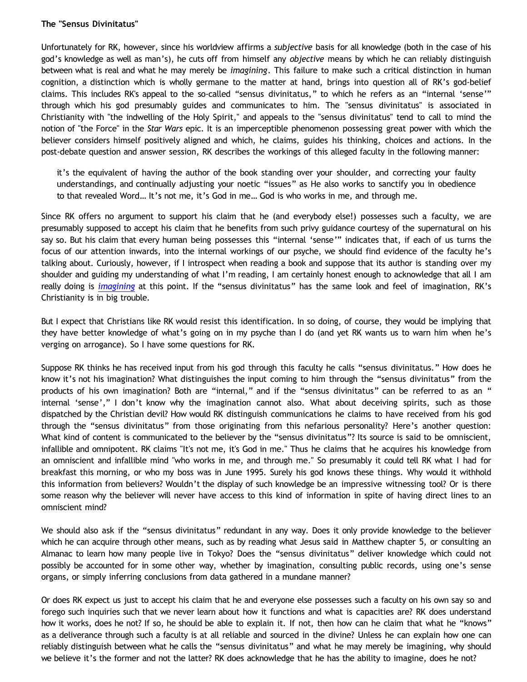## **The "Sensus Divinitatus"**

Unfortunately for RK, however, since his worldview affirms a *subjective* basis for all knowledge (both in the case of his god's knowledge as well as man's), he cuts off from himself any *objective* means by which he can reliably distinguish between what is real and what he may merely be *imagining*. This failure to make such a critical distinction in human cognition, a distinction which is wholly germane to the matter at hand, brings into question all of RK's god-belief claims. This includes RK's appeal to the so-called "sensus divinitatus," to which he refers as an "internal 'sense'" through which his god presumably guides and communicates to him. The "sensus divinitatus" is associated in Christianity with "the indwelling of the Holy Spirit," and appeals to the "sensus divinitatus" tend to call to mind the notion of "the Force" in the *Star Wars* epic. It is an imperceptible phenomenon possessing great power with which the believer considers himself positively aligned and which, he claims, guides his thinking, choices and actions. In the post-debate question and answer session, RK describes the workings of this alleged faculty in the following manner:

it's the equivalent of having the author of the book standing over your shoulder, and correcting your faulty understandings, and continually adjusting your noetic "issues" as He also works to sanctify you in obedience to that revealed Word… It's not me, it's God in me… God is who works in me, and through me.

Since RK offers no argument to support his claim that he (and everybody else!) possesses such a faculty, we are presumably supposed to accept his claim that he benefits from such privy guidance courtesy of the supernatural on his say so. But his claim that every human being possesses this "internal 'sense'" indicates that, if each of us turns the focus of our attention inwards, into the internal workings of our psyche, we should find evidence of the faculty he's talking about. Curiously, however, if I introspect when reading a book and suppose that its author is standing over my shoulder and guiding my understanding of what I'm reading, I am certainly honest enough to acknowledge that all I am really doing is *[imagining](http://bahnsenburner.blogspot.com/2007/07/role-of-imagination-in-christian-god.html)* at this point. If the "sensus divinitatus" has the same look and feel of imagination, RK's Christianity is in big trouble.

But I expect that Christians like RK would resist this identification. In so doing, of course, they would be implying that they have better knowledge of what's going on in my psyche than I do (and yet RK wants us to warn him when he's verging on arrogance). So I have some questions for RK.

Suppose RK thinks he has received input from his god through this faculty he calls "sensus divinitatus." How does he know it's not his imagination? What distinguishes the input coming to him through the "sensus divinitatus" from the products of his own imagination? Both are "internal," and if the "sensus divinitatus" can be referred to as an " internal 'sense'," I don't know why the imagination cannot also. What about deceiving spirits, such as those dispatched by the Christian devil? How would RK distinguish communications he claims to have received from his god through the "sensus divinitatus" from those originating from this nefarious personality? Here's another question: What kind of content is communicated to the believer by the "sensus divinitatus"? Its source is said to be omniscient, infallible and omnipotent. RK claims "It's not me, it's God in me." Thus he claims that he acquires his knowledge from an omniscient and infallible mind "who works in me, and through me." So presumably it could tell RK what I had for breakfast this morning, or who my boss was in June 1995. Surely his god knows these things. Why would it withhold this information from believers? Wouldn't the display of such knowledge be an impressive witnessing tool? Or is there some reason why the believer will never have access to this kind of information in spite of having direct lines to an omniscient mind?

We should also ask if the "sensus divinitatus" redundant in any way. Does it only provide knowledge to the believer which he can acquire through other means, such as by reading what Jesus said in Matthew chapter 5, or consulting an Almanac to learn how many people live in Tokyo? Does the "sensus divinitatus" deliver knowledge which could not possibly be accounted for in some other way, whether by imagination, consulting public records, using one's sense organs, or simply inferring conclusions from data gathered in a mundane manner?

Or does RK expect us just to accept his claim that he and everyone else possesses such a faculty on his own say so and forego such inquiries such that we never learn about how it functions and what is capacities are? RK does understand how it works, does he not? If so, he should be able to explain it. If not, then how can he claim that what he "knows" as a deliverance through such a faculty is at all reliable and sourced in the divine? Unless he can explain how one can reliably distinguish between what he calls the "sensus divinitatus" and what he may merely be imagining, why should we believe it's the former and not the latter? RK does acknowledge that he has the ability to imagine, does he not?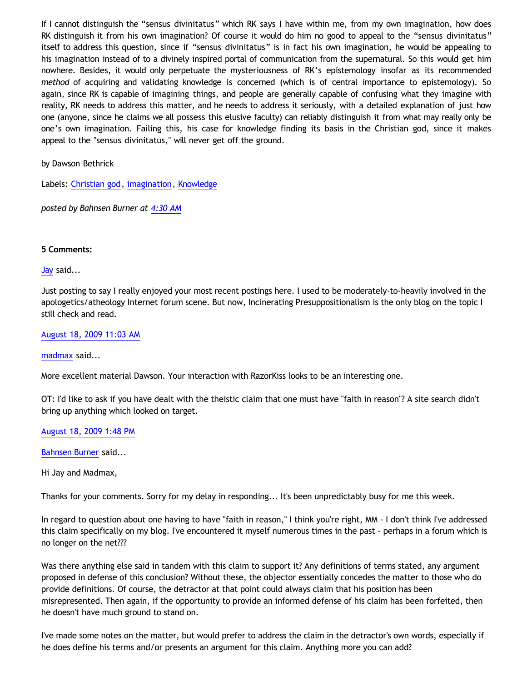If I cannot distinguish the "sensus divinitatus" which RK says I have within me, from my own imagination, how does RK distinguish it from his own imagination? Of course it would do him no good to appeal to the "sensus divinitatus" itself to address this question, since if "sensus divinitatus" is in fact his own imagination, he would be appealing to his imagination instead of to a divinely inspired portal of communication from the supernatural. So this would get him nowhere. Besides, it would only perpetuate the mysteriousness of RK's epistemology insofar as its recommended *method* of acquiring and validating knowledge is concerned (which is of central importance to epistemology). So again, since RK is capable of imagining things, and people are generally capable of confusing what they imagine with reality, RK needs to address this matter, and he needs to address it seriously, with a detailed explanation of just how one (anyone, since he claims we all possess this elusive faculty) can reliably distinguish it from what may really only be one's own imagination. Failing this, his case for knowledge finding its basis in the Christian god, since it makes appeal to the "sensus divinitatus," will never get off the ground.

by Dawson Bethrick

Labels: [Christian god](http://bahnsenburner.blogspot.com/search/label/Christian%20god), [imagination](http://bahnsenburner.blogspot.com/search/label/imagination), [Knowledge](http://bahnsenburner.blogspot.com/search/label/Knowledge)

*posted by Bahnsen Burner at [4:30 AM](http://bahnsenburner.blogspot.com/2009/08/razorskiss-on-christian-god-as-basis-of.html)*

### **5 Comments:**

[Jay](http://www.blogger.com/profile/09604208085934821426) said...

Just posting to say I really enjoyed your most recent postings here. I used to be moderately-to-heavily involved in the apologetics/atheology Internet forum scene. But now, Incinerating Presuppositionalism is the only blog on the topic I still check and read.

[August 18, 2009 11:03 AM](http://bahnsenburner.blogspot.com/2009/08/4566190092448535539)

[madmax](http://www.blogger.com/profile/14375140131881725965) said...

More excellent material Dawson. Your interaction with RazorKiss looks to be an interesting one.

OT: I'd like to ask if you have dealt with the theistic claim that one must have "faith in reason"? A site search didn't bring up anything which looked on target.

[August 18, 2009 1:48 PM](http://bahnsenburner.blogspot.com/2009/08/9199720751253494749)

[Bahnsen Burner](http://www.blogger.com/profile/11030029491768748360) said...

Hi Jay and Madmax,

Thanks for your comments. Sorry for my delay in responding... It's been unpredictably busy for me this week.

In regard to question about one having to have "faith in reason," I think you're right, MM - I don't think I've addressed this claim specifically on my blog. I've encountered it myself numerous times in the past - perhaps in a forum which is no longer on the net???

Was there anything else said in tandem with this claim to support it? Any definitions of terms stated, any argument proposed in defense of this conclusion? Without these, the objector essentially concedes the matter to those who do provide definitions. Of course, the detractor at that point could always claim that his position has been misrepresented. Then again, if the opportunity to provide an informed defense of his claim has been forfeited, then he doesn't have much ground to stand on.

I've made some notes on the matter, but would prefer to address the claim in the detractor's own words, especially if he does define his terms and/or presents an argument for this claim. Anything more you can add?